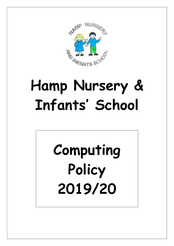

# Hamp Nursery & Infants· School

# Computing Policy 2019/20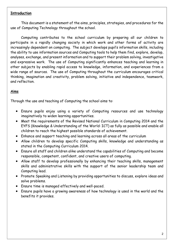#### **Introduction**

This document is a statement of the aims, principles, strategies, and procedures for the use of Computing Technology throughout the school.

Computing contributes to the school curriculum by preparing all our children to participate in a rapidly changing society in which work and other forms of activity are increasingly dependent on computing. The subject develops pupil's information skills, including the ability to use information sources and Computing tools to help them find, explore, develop, analyses, exchange, and present information and to support their problem solving, investigative and expressive work. The use of Computing significantly enhances teaching and learning in other subjects by enabling rapid access to knowledge, information, and experiences from a wide range of sources. The use of Computing throughout the curriculum encourages critical thinking, imagination and creativity, problem solving, initiative and independence, teamwork, and reflection.

# Aims

Through the use and teaching of Computing the school aims to:

- Ensure pupils enjoy using a variety of Computing resources and use technology imaginatively to widen learning opportunities.
- Meet the requirements of the Revised National Curriculum in Computing 2014 and the EYFS (Knowledge & Understanding of the World: ICT) as fully as possible and enable all children to reach the highest possible standards of achievement.
- Enhance and support teaching and learning across all areas of the curriculum
- Allow children to develop specific Computing skills, knowledge and understanding as stated in the Computing Curriculum 2014.
- Ensure all staff and children alike understand the capabilities of Computing and become responsible, competent, confident, and creative users of computing.
- Allow staff to develop professionally by enhancing their teaching skills, management skills and administrative skills with the support of the senior leadership team and Computing lead.
- Promote Speaking and Listening by providing opportunities to discuss, explore ideas and solve problems.
- Ensure time is managed effectively and well-paced.
- Ensure pupils have a growing awareness of how technology is used in the world and the benefits it provides.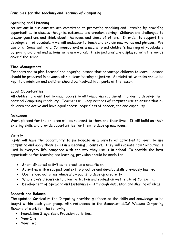### Principles for the teaching and learning of Computing

#### Speaking and Listening.

As set out in our aims we are committed to promoting speaking and listening by providing opportunities to discuss thoughts, outcomes and problem solving. Children are challenged to answer questions and think about the ideas and views of others. In order to support the development of vocabulary we will endeavor to teach and explain new words and phrases. We use STC (Somerset Total Communication) as a means to aid children's learning of vocabulary by joining pictures and actions with new words. These pictures are displayed with the words around the school.

#### Time Management

Teachers are to plan focused and engaging lessons that encourage children to learn. Lessons should be prepared in advance with a clear learning objective. Administrative tasks should be kept to a minimum and children should be involved in all parts of the lesson.

#### Equal Opportunities

All children are entitled to equal access to all Computing equipment in order to develop their personal Computing capability. Teachers will keep records of computer use to ensure that all children are active and have equal access, regardless of gender, age and capability.

#### Relevance

Work planned for the children will be relevant to them and their lives. It will build on their existing skills and provide opportunities for them to develop new ideas.

#### Variety

Pupils will have the opportunity to participate in a variety of activities to learn to use Computing and apply these skills in a meaningful context. They will evaluate how Computing is used in everyday life compared with the way they use it in school. To provide the best opportunities for teaching and learning, provision should be made for

- Short directed activities to practice a specific skill
- Activities with a subject context to practice and develop skills previously learned
- Open ended activities which allow pupils to develop creativity
- Whole class discussion to allow reflection and evaluation on the use of Computing.
- Development of Speaking and Listening skills through discussion and sharing of ideas

#### Breadth and Balance

The updated Curriculum for Computing provides guidance on the skills and knowledge to be taught within each year group: with reference to the Somerset eLIM Wessex Computing Scheme of work for the following.

- Foundation Stage Basic Provision activities.
- Year One
- Year Two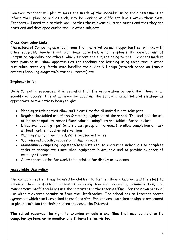However, teachers will plan to meet the needs of the individual using their assessment to inform their planning and as such, may be working at different levels within their class. Teachers will need to plan their work so that the relevant skills are taught and that they are practiced and developed during work in other subjects.

# Cross Curricular Links

The nature of Computing as a tool means that there will be many opportunities for links with other subjects. Teachers will plan some activities, which emphasis the development of Computing capability and others, which support the subject being taught. Teachers medium term planning will show opportunities for teaching and learning using Computing in other curriculum areas e.g. Math: data handling tools, Art & Design (artwork based on famous artists.) Labelling diagrams/pictures (Literacy) etc.

# Implementation

With Computing resources, it is essential that the organisation be such that there is an equality of access. This is achieved by adopting the following organisational strategy as appropriate to the activity being taught.

- Planning activities that allow sufficient time for all individuals to take part
- Regular timetabled use of the Computing equipment at the school. This includes the use of laptop computers, beebot floor robots, codapillars and tablets for each class.
- Effective teaching input (whole class, group or individual) to allow completion of task without further teacher intervention
- Planning short, time-limited, skills focused activities
- Working individually, in pairs or in small groups
- Maintaining Computing registers/task lists etc. to encourage individuals to complete tasks at appropriate times when equipment is available and to provide evidence of equality of access
- Allow opportunities for work to be printed for display or evidence

# Acceptable Use Policy

The computer systems may be used by children to further their education and the staff to enhance their professional activities including teaching, research, administration, and management. Staff should not use the computers or the Internet/Email for their own personal use without express permission from the Headteacher. The school has an Internet access agreement which staff are asked to read and sign. Parents are also asked to sign an agreement to give permission for their children to access the Internet.

The school reserves the right to examine or delete any files that may be held on its computer systems or to monitor any Internet sites visited.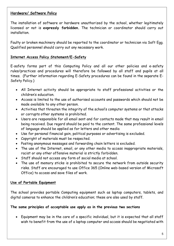# Hardware/ Software Policy

The installation of software or hardware unauthorized by the school, whether legitimately licensed or not is expressly forbidden. The technician or coordinator should carry out installation.

Faulty or broken machinery should be reported to the coordinator or technician via Soft Egg. Qualified personnel should carry out any necessary work.

# Internet Access Policy Statement/E-Safety

E-safety forms part of this Computing Policy and all our other policies and e-safety rules/practices and procedures will therefore be followed by all staff and pupils at all times. (Further information regarding E-Safety procedures can be found in the separate E-Safety Policy.)

- All Internet activity should be appropriate to staff professional activities or the children's education.
- Access is limited to the use of authorised accounts and passwords which should not be made available to any other person.
- Activities that threaten the integrity of the school's computer systems or that attacks or corrupts other systems is prohibited.
- Users are responsible for all email sent and for contacts made that may result in email being received. Due regard should be paid to the content. The same professional levels of language should be applied as for letters and other media
- Use for personal financial gain, political purposes or advertising is excluded.
- Copyright of materials must be respected.
- Posting anonymous messages and forwarding chain letters is excluded.
- The use of the Internet, email, or any other media to access inappropriate materials, racist or any other offensive material is strictly forbidden.
- Staff should not access any form of social media at school.
- The use of memory sticks is prohibited to secure the network from outside security risks. Staff are encouraged to use Office 365 (Online web-based version of Microsoft Office) to access and save files of work.

# Use of Portable Equipment

The school provides portable Computing equipment such as laptop computers, tablets, and digital cameras to enhance the children's education; these are also used by staff.

# The same principles of acceptable use apply as in the previous two sections

 Equipment may be in the care of a specific individual, but it is expected that all staff wish to benefit from the use of a laptop computer and access should be negotiated with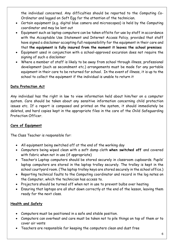the individual concerned. Any difficulties should be reported to the Computing Co-Ordinator and logged on Soft Egg for the attention of the technician.

- Certain equipment (e.g. digital blue camera and microscopes) is held by the Computing coordinator and may be lent out
- Equipment such as laptop computers can be taken offsite for use by staff in accordance with the Acceptable Use Statement and Internet Access Policy, provided that staff have signed a disclaimer accepting full responsibility for the equipment in their care and that the equipment is fully insured from the moment it leaves the school premises
- Equipment used in conjunction with a school-approved excursion does not require the signing of such a disclaimer
- Where a member of staff is likely to be away from school through illness, professional development (such as secondment etc.) arrangements must be made for any portable equipment in their care to be returned for school. In the event of illness, it is up to the school to collect the equipment if the individual is unable to return it

# Data Protection Act

Any individual has the right in law to view information held about him/her on a computer system. Care should be taken about any sensitive information concerning child protection issues etc. If a report is composed and printed on the system, it should immediately be deleted, and hard copies kept in the appropriate files in the care of the Child Safeguarding Protection Officer.

# Care of Equipment

The Class Teacher is responsible for:

- All equipment being switched off at the end of the working day
- Computers being wiped clean with a soft damp cloth when switched off and covered with fabric when not in use (if appropriate)
- Teacher's Laptop computers should be stored securely in classroom cupboards. Pupils' laptop computers are stored in the laptop trolley securely. The trolley is kept in the school courtyard room. (The laptop trolley keys are stored securely in the school office.)
- Reporting technical faults to the Computing coordinator and record in the log notes on the Computer, which the technician has access to.
- Projectors should be turned off when not in use to prevent bulbs over heating
- Ensuring that laptops are all shut down correctly at the end of the lesson, leaving them ready for the next class.

# Health and Safety

- Computers must be positioned in a safe and stable position.
- Computers can overheat and care must be taken not to pile things on top of them or to cover air vents
- Teachers are responsible for keeping the computers clean and dust free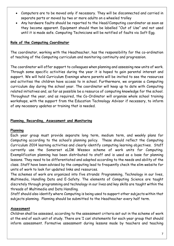- Computers are to be moved only if necessary. They will be disconnected and carried in separate parts or moved by two or more adults on a wheeled trolley
- Any hardware faults should be reported to the Head/Computing coordinator as soon as they become apparent. Equipment should then be labelled "Out of Use" and not used until it is made safe. Computing Technicians will be notified of faults via Soft Egg.

### Role of the Computing Coordinator

The coordinator, working with the Headteacher, has the responsibility for the co-ordination of teaching of the Computing curriculum and monitoring continuity and progression.

The coordinator will offer support to colleagues when planning and assessing new units of work. Through some specific activities during the year it is hoped to gain parental interest and support. We will hold Curriculum Evenings where parents will be invited to see the resources and activities the children have access to in school. Furthermore, we organise a Computing curriculum day during the school year. The coordinator will keep up to date with Computing related initiatives and, as far as possible be a resource of computing knowledge for the school. Throughout the year, and as required, the Co-Ordinator will organise whole school training workshops, with the support from the Education Technology Advisor if necessary, to inform of any necessary updates or training that is needed.

#### Planning, Recording, Assessment and Monitoring

#### Planning

Each year group must provide separate long term, medium term, and weekly plans for Computing according to the school's planning policy. These should reflect the Computing Curriculum 2014 learning activities and clearly identify computing learning objectives. Staff currently use the Somerset eLIM Wessex scheme of work units for Computing. Exemplification planning has been distributed to staff and is used as a base for planning lessons. They need to be differentiated and adapted according to the needs and ability of the class. Staff have been advised by the computing lead to frequently check the elim website for units of work to look for updated links and resources.

The schemes of work are organized into five strands: Programming, Technology in our lives, Multimedia, Handling Data and E-Safety. The elements of Computing Science are taught discretely through programming and technology in our lives and key skills are taught within the threads of Multimedia and Data Handling.

Staff should also identify where Computing is being used to support other subjects within that subjects planning. Planning should be submitted to the Headteacher every half term.

#### Assessment

Children shall be assessed, according to the assessment criteria set out in the scheme of work at the end of each unit of study. There are 'I can' statements for each year group that should inform assessment. Formative assessment during lessons made by teachers and teaching